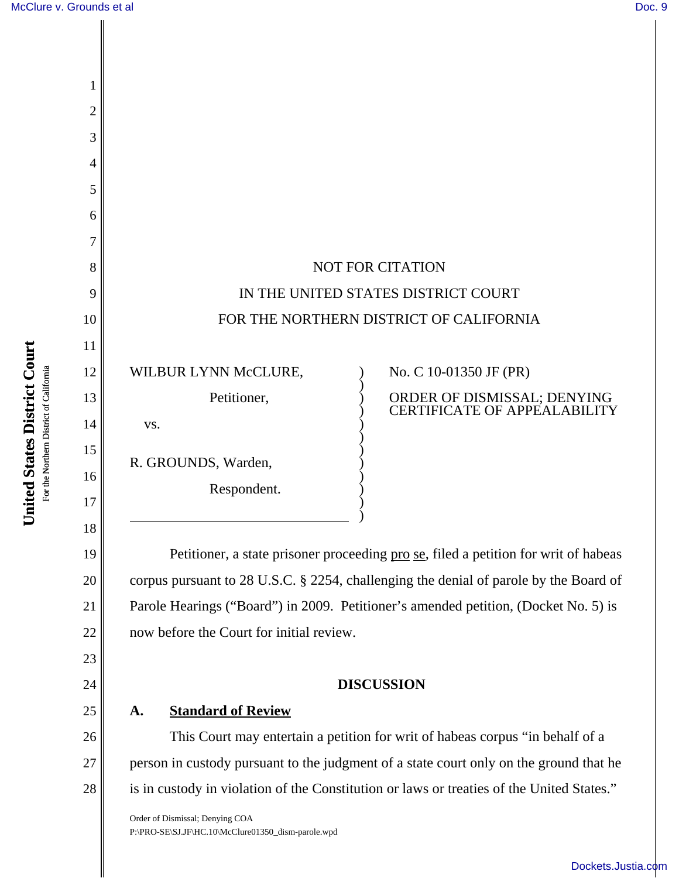1

2

3

4

5

6

7

8

9

10

11

12

13

14

15

16

17

18

19

20

21

22

23

24

25

|                      | <b>NOT FOR CITATION</b>                                          |
|----------------------|------------------------------------------------------------------|
|                      | IN THE UNITED STATES DISTRICT COURT                              |
|                      | FOR THE NORTHERN DISTRICT OF CALIFORNIA                          |
| WILBUR LYNN McCLURE, | No. C 10-01350 JF (PR)                                           |
| Petitioner,          | ORDER OF DISMISSAL; DENYING<br><b>CERTIFICATE OF APPEALABILI</b> |
| VS.                  |                                                                  |
| R. GROUNDS, Warden,  |                                                                  |
| Respondent.          |                                                                  |
|                      |                                                                  |

Petitioner, a state prisoner proceeding <u>pro se</u>, filed a petition for writ of habeas corpus pursuant to 28 U.S.C. § 2254, challenging the denial of parole by the Board of Parole Hearings ("Board") in 2009. Petitioner's amended petition, (Docket No. 5) is now before the Court for initial review.

## **DISCUSSION**

## **A. Standard of Review**

26 27 28 This Court may entertain a petition for writ of habeas corpus "in behalf of a person in custody pursuant to the judgment of a state court only on the ground that he is in custody in violation of the Constitution or laws or treaties of the United States."

Order of Dismissal; Denying COA P:\PRO-SE\SJ.JF\HC.10\McClure01350\_dism-parole.wpd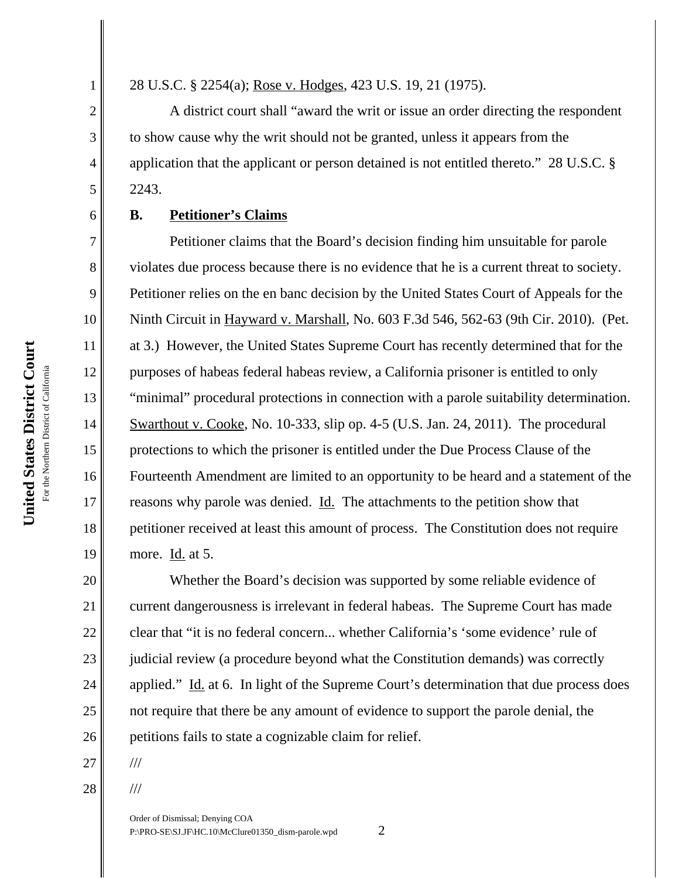1

2

3

4

5

6

7

8

9

10

11

12

13

14

15

16

17

18

19

20

21

22

23

24

25

**United States District Court**

United States District Court

28 U.S.C. § 2254(a); Rose v. Hodges, 423 U.S. 19, 21 (1975).

A district court shall "award the writ or issue an order directing the respondent to show cause why the writ should not be granted, unless it appears from the application that the applicant or person detained is not entitled thereto." 28 U.S.C. § 2243.

## **B. Petitioner's Claims**

Petitioner claims that the Board's decision finding him unsuitable for parole violates due process because there is no evidence that he is a current threat to society. Petitioner relies on the en banc decision by the United States Court of Appeals for the Ninth Circuit in Hayward v. Marshall, No. 603 F.3d 546, 562-63 (9th Cir. 2010). (Pet. at 3.) However, the United States Supreme Court has recently determined that for the purposes of habeas federal habeas review, a California prisoner is entitled to only "minimal" procedural protections in connection with a parole suitability determination. Swarthout v. Cooke, No. 10-333, slip op. 4-5 (U.S. Jan. 24, 2011). The procedural protections to which the prisoner is entitled under the Due Process Clause of the Fourteenth Amendment are limited to an opportunity to be heard and a statement of the reasons why parole was denied. Id. The attachments to the petition show that petitioner received at least this amount of process. The Constitution does not require more. Id. at 5.

26 Whether the Board's decision was supported by some reliable evidence of current dangerousness is irrelevant in federal habeas. The Supreme Court has made clear that "it is no federal concern... whether California's 'some evidence' rule of judicial review (a procedure beyond what the Constitution demands) was correctly applied." Id. at 6. In light of the Supreme Court's determination that due process does not require that there be any amount of evidence to support the parole denial, the petitions fails to state a cognizable claim for relief.

- 27
- 28

///

///

Order of Dismissal; Denying COA P:\PRO-SE\SJ.JF\HC.10\McClure01350\_dism-parole.wpd 2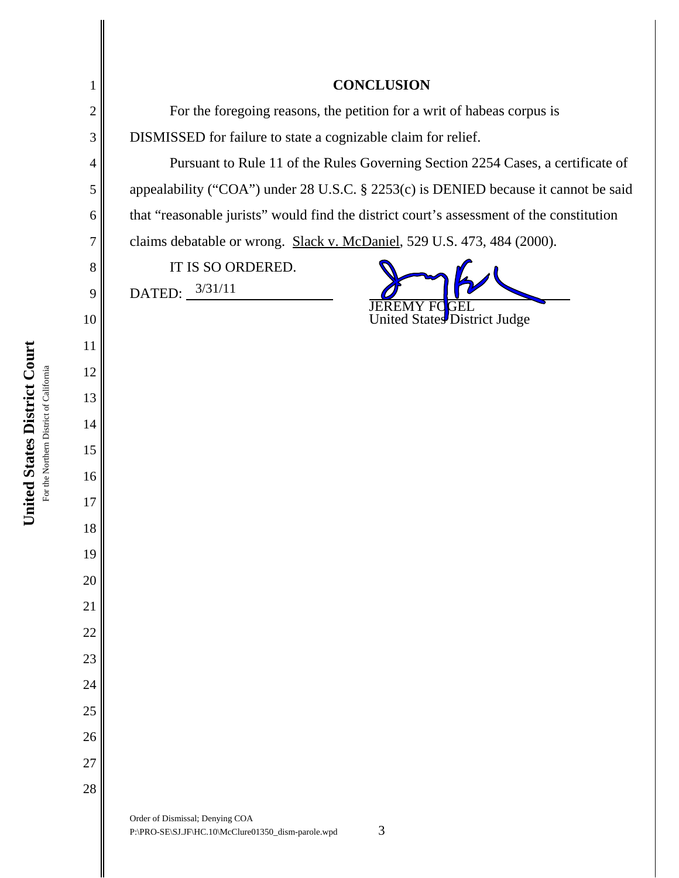| 1        | <b>CONCLUSION</b>                                                                          |
|----------|--------------------------------------------------------------------------------------------|
| 2        | For the foregoing reasons, the petition for a writ of habeas corpus is                     |
| 3        | DISMISSED for failure to state a cognizable claim for relief.                              |
| 4        | Pursuant to Rule 11 of the Rules Governing Section 2254 Cases, a certificate of            |
| 5        | appealability ("COA") under 28 U.S.C. § 2253(c) is DENIED because it cannot be said        |
| 6        | that "reasonable jurists" would find the district court's assessment of the constitution   |
| 7        | claims debatable or wrong. Slack v. McDaniel, 529 U.S. 473, 484 (2000).                    |
| 8        | IT IS SO ORDERED.                                                                          |
| 9        | DATED: $3/31/11$<br><b>JEREMY FC</b>                                                       |
| 10       | United States District Judge                                                               |
| 11       |                                                                                            |
| 12       |                                                                                            |
| 13       |                                                                                            |
| 14       |                                                                                            |
| 15       |                                                                                            |
| 16       |                                                                                            |
| 17       |                                                                                            |
| 18       |                                                                                            |
| 19       |                                                                                            |
| 20       |                                                                                            |
| 21       |                                                                                            |
| 22       |                                                                                            |
| 23       |                                                                                            |
| 24       |                                                                                            |
| 25       |                                                                                            |
| 26<br>27 |                                                                                            |
| 28       |                                                                                            |
|          | Order of Dismissal; Denying COA<br>3<br>P:\PRO-SE\SJ.JF\HC.10\McClure01350_dism-parole.wpd |